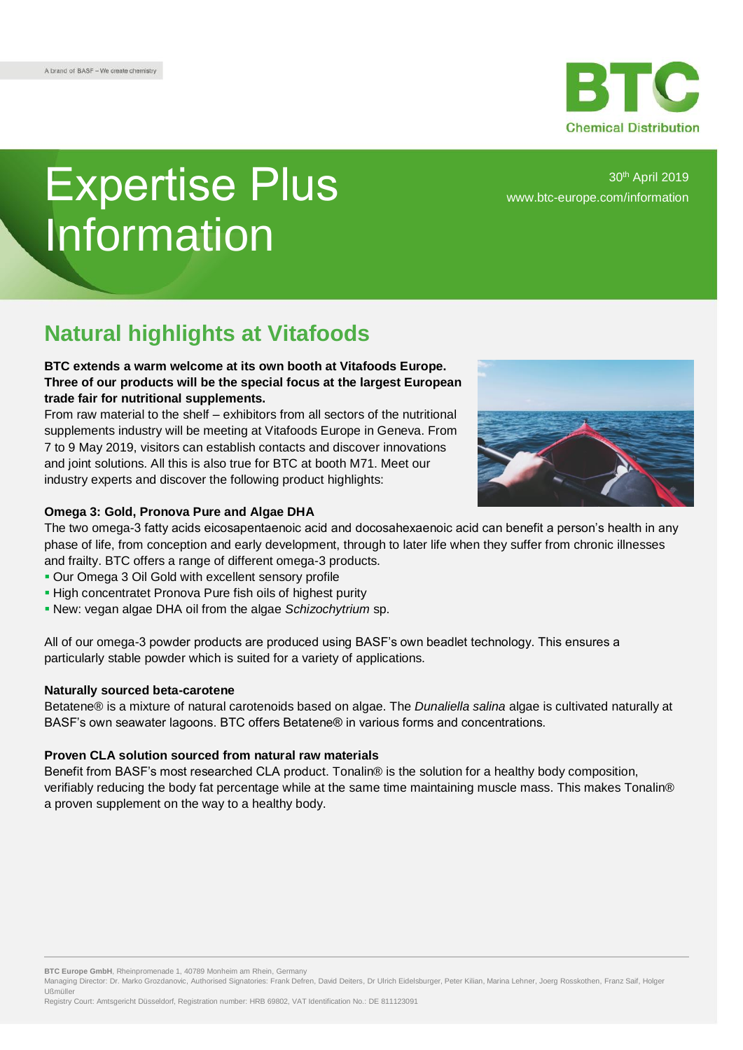# Expertise Plus Information

30th April 2019 [www.btc-europe.com/information](https://www.btc-europe.com/en/DE/newsletter-form/)

## **Natural highlights at Vitafoods**

### **BTC extends a warm welcome at its own booth at Vitafoods Europe. Three of our products will be the special focus at the largest European trade fair for nutritional supplements.**

From raw material to the shelf – exhibitors from all sectors of the nutritional supplements industry will be meeting at Vitafoods Europe in Geneva. From 7 to 9 May 2019, visitors can establish contacts and discover innovations and joint solutions. All this is also true for BTC at booth M71. Meet our industry experts and discover the following product highlights:



#### **Omega 3: Gold, Pronova Pure and Algae DHA**

The two omega-3 fatty acids eicosapentaenoic acid and docosahexaenoic acid can benefit a person's health in any phase of life, from conception and early development, through to later life when they suffer from chronic illnesses and frailty. BTC offers a range of different omega-3 products.

- Our Omega 3 Oil Gold with excellent sensory profile
- **High concentratet Pronova Pure fish oils of highest purity**
- New: vegan algae DHA oil from the algae *Schizochytrium* sp.

All of our omega-3 powder products are produced using BASF's own beadlet technology. This ensures a particularly stable powder which is suited for a variety of applications.

#### **Naturally sourced beta-carotene**

Betatene® is a mixture of natural carotenoids based on algae. The *Dunaliella salina* algae is cultivated naturally at BASF's own seawater lagoons. BTC offers Betatene® in various forms and concentrations.

#### **Proven CLA solution sourced from natural raw materials**

Benefit from BASF's most researched CLA product. Tonalin® is the solution for a healthy body composition, verifiably reducing the body fat percentage while at the same time maintaining muscle mass. This makes Tonalin® a proven supplement on the way to a healthy body.

**BTC Europe GmbH**, Rheinpromenade 1, 40789 Monheim am Rhein, Germany

Registry Court: Amtsgericht Düsseldorf, Registration number: HRB 69802, VAT Identification No.: DE 811123091

Managing Director: Dr. Marko Grozdanovic, Authorised Signatories: Frank Defren, David Deiters, Dr Ulrich Eidelsburger, Peter Kilian, Marina Lehner, Joerg Rosskothen, Franz Saif, Holger Ußmüller